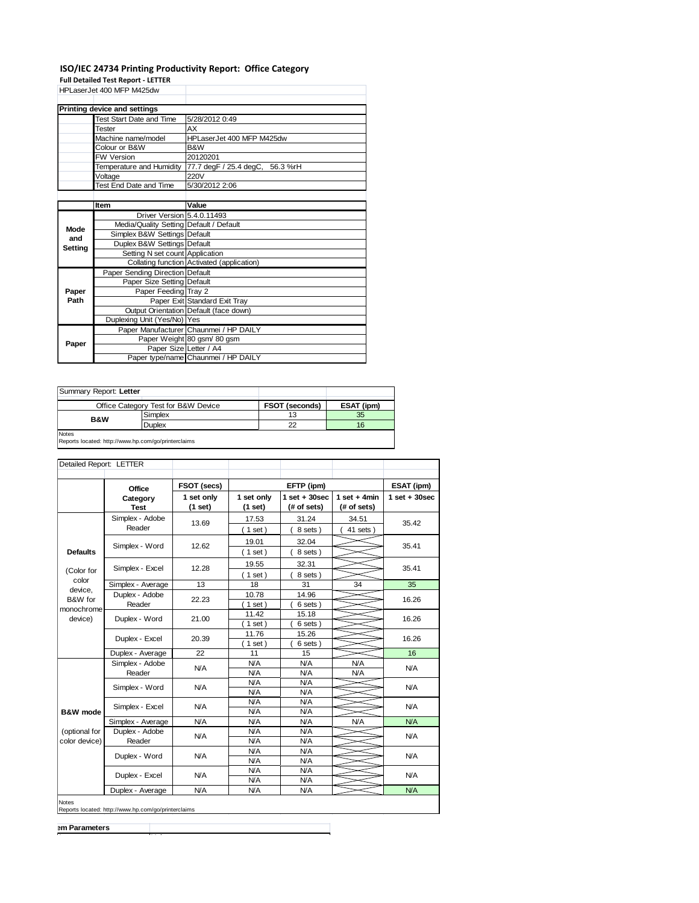## **ISO/IEC 24734 Printing Productivity Report: Office Category**

**Full Detailed Test Report - LETTER**

|         | Detailea 1 est nepoit - E               |                                            |  |  |
|---------|-----------------------------------------|--------------------------------------------|--|--|
|         | HPLaserJet 400 MFP M425dw               |                                            |  |  |
|         |                                         |                                            |  |  |
|         | Printing device and settings            |                                            |  |  |
|         | Test Start Date and Time                | 5/28/2012 0:49                             |  |  |
|         | <b>Tester</b>                           | AX                                         |  |  |
|         | Machine name/model                      | HPLaserJet 400 MFP M425dw                  |  |  |
|         | Colour or B&W                           | B&W                                        |  |  |
|         | <b>FW Version</b>                       | 20120201                                   |  |  |
|         | Temperature and Humidity                | 77.7 degF / 25.4 degC, 56.3 %rH            |  |  |
|         | Voltage                                 | 220V                                       |  |  |
|         | Test End Date and Time                  | 5/30/2012 2:06                             |  |  |
|         |                                         |                                            |  |  |
|         | Item                                    | Value                                      |  |  |
|         | Driver Version 5.4.0.11493              |                                            |  |  |
| Mode    | Media/Quality Setting Default / Default |                                            |  |  |
| and     | Simplex B&W Settings Default            |                                            |  |  |
| Setting | Duplex B&W Settings Default             |                                            |  |  |
|         | Setting N set count Application         |                                            |  |  |
|         |                                         | Collating function Activated (application) |  |  |
|         | Paper Sending Direction Default         |                                            |  |  |
|         | Paper Size Setting Default              |                                            |  |  |
| Paper   | Paper Feeding Tray 2                    |                                            |  |  |
| Path    |                                         | Paper Exit Standard Exit Tray              |  |  |
|         |                                         | Output Orientation Default (face down)     |  |  |
|         | Duplexing Unit (Yes/No) Yes             |                                            |  |  |
|         |                                         | Paper Manufacturer Chaunmei / HP DAILY     |  |  |
| Paper   |                                         | Paper Weight 80 gsm 80 gsm                 |  |  |
|         | Paper Size Letter / A4                  |                                            |  |  |
|         |                                         | Paper type/name Chaunmei / HP DAILY        |  |  |

| Summary Report: Letter |                                                     |                       |            |  |  |  |  |  |
|------------------------|-----------------------------------------------------|-----------------------|------------|--|--|--|--|--|
|                        | Office Category Test for B&W Device                 | <b>FSOT (seconds)</b> | ESAT (ipm) |  |  |  |  |  |
| <b>B&amp;W</b>         | Simplex                                             | 13                    | 35         |  |  |  |  |  |
|                        | Duplex                                              | 22                    | 16         |  |  |  |  |  |
| <b>Notes</b>           |                                                     |                       |            |  |  |  |  |  |
|                        | Reports located: http://www.hp.com/go/printerclaims |                       |            |  |  |  |  |  |

|                                             | Office                    | FSOT (secs)           |                       | EFTP (ipm)                       |                                | ESAT (ipm)      |
|---------------------------------------------|---------------------------|-----------------------|-----------------------|----------------------------------|--------------------------------|-----------------|
|                                             | Category<br><b>Test</b>   | 1 set only<br>(1 set) | 1 set only<br>(1 set) | $1$ set $+30$ sec<br>(# of sets) | 1 set + 4 $min$<br>(# of sets) | $1$ set + 30sec |
|                                             | Simplex - Adobe<br>Reader | 13.69                 | 17.53<br>$1$ set)     | 31.24<br>8 sets)                 | 34.51<br>$41$ sets $)$         | 35.42           |
| <b>Defaults</b>                             | Simplex - Word            | 12.62                 | 19.01<br>$1$ set)     | 32.04<br>8 sets)                 |                                | 35.41           |
| (Color for                                  | Simplex - Excel           | 12.28                 | 19.55<br>$1$ set)     | 32.31<br>8 sets)                 |                                | 35.41           |
| color                                       | Simplex - Average         | 13                    | 18                    | 31                               | 34                             | 35              |
| device,<br>B&W for<br>monochrome<br>device) | Duplex - Adobe<br>Reader  | 22.23                 | 10.78<br>$1$ set      | 14.96<br>6 sets)                 |                                | 16.26           |
|                                             | Duplex - Word             | 21.00                 | 11.42<br>$1$ set      | 15.18<br>6 sets)                 |                                | 16.26           |
|                                             | Duplex - Excel            | 20.39                 | 11.76<br>$1$ set)     | 15.26<br>6 sets)                 |                                | 16.26           |
|                                             | Duplex - Average          | 22                    | 11                    | 15                               |                                | 16              |
|                                             | Simplex - Adobe<br>Reader | <b>N/A</b>            | N/A<br>N/A            | N/A<br>N/A                       | N/A<br>N/A                     | <b>N/A</b>      |
|                                             | Simplex - Word            | <b>N/A</b>            | N/A<br>N/A            | <b>N/A</b><br><b>N/A</b>         |                                | <b>N/A</b>      |
| <b>B&amp;W</b> mode                         | Simplex - Excel           | <b>N/A</b>            | N/A<br>N/A            | N/A<br>N/A                       |                                | N/A             |
|                                             | Simplex - Average         | N/A                   | N/A                   | N/A                              | N/A                            | N/A             |
| (optional for<br>color device)              | Duplex - Adobe<br>Reader  | <b>N/A</b>            | N/A<br>N/A            | N/A<br>N/A                       |                                | <b>N/A</b>      |
|                                             | Duplex - Word             | N/A                   | N/A<br>N/A            | N/A<br>N/A                       |                                | <b>N/A</b>      |
|                                             | Duplex - Excel            | <b>N/A</b>            | N/A<br>N/A            | N/A<br>N/A                       |                                | <b>N/A</b>      |
|                                             | Duplex - Average          | N/A                   | N/A                   | N/A                              |                                | N/A             |

**Parameters** 

**Item Value**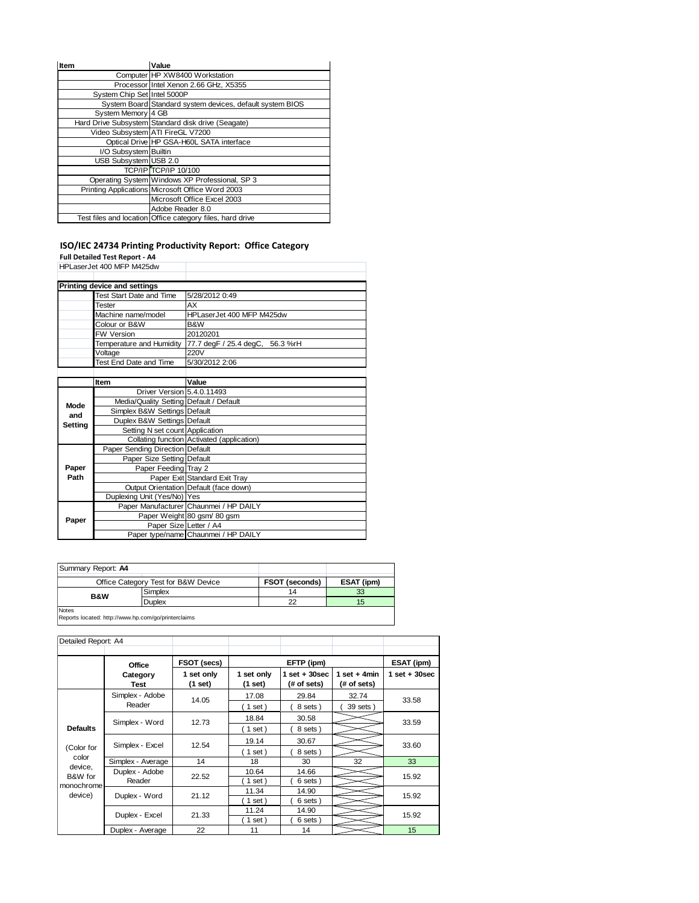| Item                        | Value                                                     |
|-----------------------------|-----------------------------------------------------------|
|                             | Computer HP XW8400 Workstation                            |
|                             | Processor Intel Xenon 2.66 GHz, X5355                     |
| System Chip Set Intel 5000P |                                                           |
|                             | System Board Standard system devices, default system BIOS |
| System Memory 4 GB          |                                                           |
|                             | Hard Drive Subsystem Standard disk drive (Seagate)        |
|                             | Video Subsystem ATI FireGL V7200                          |
|                             | Optical Drive HP GSA-H60L SATA interface                  |
| I/O Subsystem Builtin       |                                                           |
| USB Subsystem USB 2.0       |                                                           |
|                             | <b>TCP/IP TCP/IP 10/100</b>                               |
|                             | Operating System Windows XP Professional, SP 3            |
|                             | Printing Applications Microsoft Office Word 2003          |
|                             | Microsoft Office Excel 2003                               |
|                             | Adobe Reader 8.0                                          |
|                             | Test files and location Office category files, hard drive |

## **ISO/IEC 24734 Printing Productivity Report: Office Category**

**Full Detailed Test Report - A4**

|             | HPLaserJet 400 MFP M425dw               |                                            |  |  |  |  |
|-------------|-----------------------------------------|--------------------------------------------|--|--|--|--|
|             |                                         |                                            |  |  |  |  |
|             | Printing device and settings            |                                            |  |  |  |  |
|             | <b>Test Start Date and Time</b>         | 5/28/2012 0:49                             |  |  |  |  |
|             | <b>Tester</b>                           | AX                                         |  |  |  |  |
|             | Machine name/model                      | HPLaserJet 400 MFP M425dw                  |  |  |  |  |
|             | Colour or B&W                           | B&W                                        |  |  |  |  |
|             | FW Version                              | 20120201                                   |  |  |  |  |
|             | Temperature and Humidity                | 77.7 degF / 25.4 degC, 56.3 %rH            |  |  |  |  |
|             | Voltage                                 | 220V                                       |  |  |  |  |
|             | Test End Date and Time                  | 5/30/2012 2:06                             |  |  |  |  |
|             |                                         |                                            |  |  |  |  |
|             | <b>Item</b>                             | Value                                      |  |  |  |  |
|             | Driver Version 5.4.0.11493              |                                            |  |  |  |  |
| <b>Mode</b> | Media/Quality Setting Default / Default |                                            |  |  |  |  |
| and         | Simplex B&W Settings Default            |                                            |  |  |  |  |
| Setting     | Duplex B&W Settings Default             |                                            |  |  |  |  |
|             | Setting N set count Application         |                                            |  |  |  |  |
|             |                                         | Collating function Activated (application) |  |  |  |  |
|             | Paper Sending Direction Default         |                                            |  |  |  |  |
|             | Paper Size Setting Default              |                                            |  |  |  |  |
| Paper       | Paper Feeding Tray 2                    |                                            |  |  |  |  |
| Path        |                                         | Paper Exit Standard Exit Tray              |  |  |  |  |
|             |                                         | Output Orientation Default (face down)     |  |  |  |  |
|             | Duplexing Unit (Yes/No) Yes             |                                            |  |  |  |  |
|             |                                         | Paper Manufacturer Chaunmei / HP DAILY     |  |  |  |  |
| Paper       |                                         | Paper Weight 80 gsm/ 80 gsm                |  |  |  |  |
|             | Paper Size Letter / A4                  |                                            |  |  |  |  |
|             |                                         | Paper type/name Chaunmei / HP DAILY        |  |  |  |  |

| Summary Report: A4                                                  |                                     |                       |            |  |  |  |  |
|---------------------------------------------------------------------|-------------------------------------|-----------------------|------------|--|--|--|--|
|                                                                     | Office Category Test for B&W Device | <b>FSOT (seconds)</b> | ESAT (ipm) |  |  |  |  |
| <b>B&amp;W</b>                                                      | Simplex                             | 14                    | 33         |  |  |  |  |
|                                                                     | <b>Duplex</b>                       | 22                    | 15         |  |  |  |  |
| <b>Notes</b><br>Reports located: http://www.bp.com/go/printerclaims |                                     |                       |            |  |  |  |  |

Reports located: http://www.hp.com/go/printerclaims

| Detailed Report: A4   |                         |                       |                           |                                  |                               |                   |  |
|-----------------------|-------------------------|-----------------------|---------------------------|----------------------------------|-------------------------------|-------------------|--|
|                       | Office                  |                       | FSOT (secs)<br>EFTP (ipm) |                                  |                               | ESAT (ipm)        |  |
|                       | Category<br><b>Test</b> | 1 set only<br>(1 set) | 1 set only<br>(1 set)     | $1$ set $+30$ sec<br>(# of sets) | 1 set $+4$ min<br>(# of sets) | $1$ set $+30$ sec |  |
|                       | Simplex - Adobe         | 14.05                 | 17.08                     | 29.84                            | 32.74                         | 33.58             |  |
|                       | Reader                  |                       | $1$ set)                  | 8 sets)                          | 39 sets)                      |                   |  |
|                       | Simplex - Word          | 12.73                 | 18.84                     | 30.58                            |                               | 33.59             |  |
| <b>Defaults</b>       |                         |                       | 1 set)                    | 8 sets)                          |                               |                   |  |
|                       | Simplex - Excel         | 12.54                 | 19.14                     | 30.67                            |                               | 33.60             |  |
| (Color for            |                         |                       | 1 set)                    | 8 sets)                          |                               |                   |  |
| color                 | Simplex - Average       | 14                    | 18                        | 30                               | 32                            | 33                |  |
| device,<br>B&W for    | Duplex - Adobe          | 22.52                 | 10.64                     | 14.66                            |                               | 15.92             |  |
| monochrome<br>device) | Reader                  |                       | $1$ set)                  | 6 sets)                          |                               |                   |  |
|                       | Duplex - Word           | 21.12                 | 11.34                     | 14.90                            |                               | 15.92             |  |
|                       |                         |                       | $1$ set)                  | 6 sets)                          |                               |                   |  |
|                       | Duplex - Excel          | 21.33                 | 11.24                     | 14.90                            |                               | 15.92             |  |
|                       |                         |                       | $1$ set)                  | 6 sets)                          |                               |                   |  |
|                       | Duplex - Average        | 22                    | 11                        | 14                               |                               | 15                |  |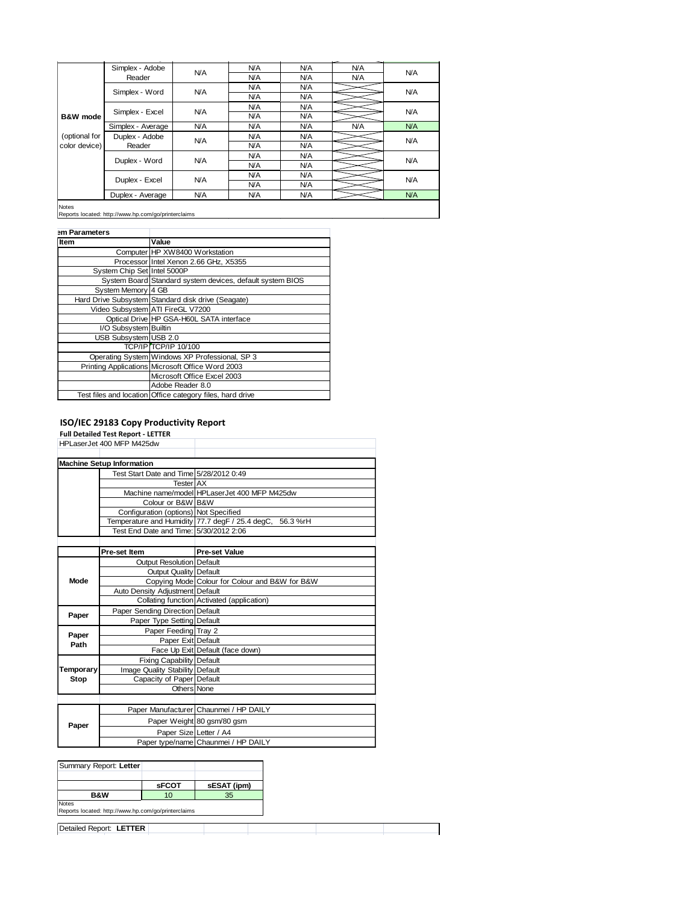|               | Simplex - Adobe   | N/A        | N/A        | N/A        | <b>N/A</b> | <b>N/A</b> |  |
|---------------|-------------------|------------|------------|------------|------------|------------|--|
|               | Reader            |            | N/A        | N/A        | <b>N/A</b> |            |  |
|               | Simplex - Word    | <b>N/A</b> | N/A        | <b>N/A</b> |            | <b>N/A</b> |  |
|               |                   |            | <b>N/A</b> | <b>N/A</b> |            |            |  |
|               |                   |            | <b>N/A</b> | <b>N/A</b> |            |            |  |
| B&W mode      | Simplex - Excel   | <b>N/A</b> | N/A        | <b>N/A</b> |            | <b>N/A</b> |  |
|               | Simplex - Average | <b>N/A</b> | <b>N/A</b> | <b>N/A</b> | <b>N/A</b> | <b>N/A</b> |  |
| (optional for | Duplex - Adobe    |            | <b>N/A</b> | <b>N/A</b> |            |            |  |
| color device) | Reader            | <b>N/A</b> | N/A        | <b>N/A</b> |            | <b>N/A</b> |  |
|               |                   | <b>N/A</b> | <b>N/A</b> | <b>N/A</b> |            | <b>N/A</b> |  |
|               | Duplex - Word     |            | <b>N/A</b> | <b>N/A</b> |            |            |  |
|               |                   |            | <b>N/A</b> | <b>N/A</b> |            |            |  |
|               | Duplex - Excel    | <b>N/A</b> | <b>N/A</b> | <b>N/A</b> |            | <b>N/A</b> |  |
|               | Duplex - Average  | <b>N/A</b> | N/A        | <b>N/A</b> |            | <b>N/A</b> |  |
| <b>Notor</b>  |                   |            |            |            |            |            |  |

Notes Reports located: http://www.hp.com/go/printerclaims

| em Parameters               |                                                           |
|-----------------------------|-----------------------------------------------------------|
| <b>Item</b>                 | Value                                                     |
|                             | Computer HP XW8400 Workstation                            |
|                             | Processor Intel Xenon 2.66 GHz, X5355                     |
| System Chip Set Intel 5000P |                                                           |
|                             | System Board Standard system devices, default system BIOS |
| System Memory 4 GB          |                                                           |
|                             | Hard Drive Subsystem Standard disk drive (Seagate)        |
|                             | Video Subsystem ATI FireGL V7200                          |
|                             | Optical Drive HP GSA-H60L SATA interface                  |
| I/O Subsystem Builtin       |                                                           |
| USB Subsystem USB 2.0       |                                                           |
|                             | TCP/IP TCP/IP 10/100                                      |
|                             | Operating System Windows XP Professional, SP 3            |
|                             | Printing Applications Microsoft Office Word 2003          |
|                             | Microsoft Office Excel 2003                               |
|                             | Adobe Reader 8.0                                          |
|                             | Test files and location Office category files, hard drive |

|               |                                           | <b>ISO/IEC 29183 Copy Productivity Report</b> |                                                 |          |  |
|---------------|-------------------------------------------|-----------------------------------------------|-------------------------------------------------|----------|--|
|               | <b>Full Detailed Test Report - LETTER</b> |                                               |                                                 |          |  |
|               | HPLaserJet 400 MFP M425dw                 |                                               |                                                 |          |  |
|               |                                           |                                               |                                                 |          |  |
|               | <b>Machine Setup Information</b>          |                                               |                                                 |          |  |
|               |                                           | Test Start Date and Time 5/28/2012 0:49       |                                                 |          |  |
|               |                                           | <b>Tester AX</b>                              |                                                 |          |  |
|               |                                           |                                               | Machine name/model HPLaserJet 400 MFP M425dw    |          |  |
|               |                                           | Colour or B&W B&W                             |                                                 |          |  |
|               |                                           | Configuration (options) Not Specified         |                                                 |          |  |
|               |                                           |                                               | Temperature and Humidity 77.7 degF / 25.4 degC, | 56.3 %rH |  |
|               |                                           | Test End Date and Time: 5/30/2012 2:06        |                                                 |          |  |
|               |                                           |                                               |                                                 |          |  |
|               | Pre-set Item                              |                                               | <b>Pre-set Value</b>                            |          |  |
|               |                                           | <b>Output Resolution Default</b>              |                                                 |          |  |
|               |                                           | <b>Output Quality Default</b>                 |                                                 |          |  |
| Mode          |                                           |                                               | Copying Mode Colour for Colour and B&W for B&W  |          |  |
|               |                                           | Auto Density Adjustment Default               |                                                 |          |  |
|               |                                           |                                               | Collating function Activated (application)      |          |  |
|               | Paper Sending Direction Default           |                                               |                                                 |          |  |
| Paper         |                                           | Paper Type Setting Default                    |                                                 |          |  |
|               | Paper Feeding Tray 2                      |                                               |                                                 |          |  |
| Paper<br>Path | Paper Exit Default                        |                                               |                                                 |          |  |
|               |                                           |                                               | Face Up Exit Default (face down)                |          |  |
|               | <b>Fixing Capability Default</b>          |                                               |                                                 |          |  |
| Temporary     | Image Quality Stability Default           |                                               |                                                 |          |  |
| Stop          |                                           | Capacity of Paper Default                     |                                                 |          |  |
|               | Others None                               |                                               |                                                 |          |  |
|               |                                           |                                               |                                                 |          |  |
|               |                                           |                                               | Paper Manufacturer Chaunmei / HP DAILY          |          |  |
|               |                                           |                                               |                                                 |          |  |
| Paper         |                                           |                                               | Paper Weight 80 gsm/80 gsm                      |          |  |
|               | Paper Size Letter / A4                    |                                               |                                                 |          |  |
|               |                                           |                                               | Paper type/name Chaunmei / HP DAILY             |          |  |
|               |                                           |                                               |                                                 |          |  |
|               | Summary Report: Letter                    |                                               |                                                 |          |  |
|               |                                           |                                               |                                                 |          |  |
|               |                                           | sFCOT                                         | sESAT (ipm)                                     |          |  |
|               | <b>B&amp;W</b><br>10                      |                                               | 35                                              |          |  |

| -----                                               | . | --- |  |
|-----------------------------------------------------|---|-----|--|
| Notes                                               |   |     |  |
| Reports located: http://www.hp.com/go/printerclaims |   |     |  |
|                                                     |   |     |  |
| Detailed Report: LETTER                             |   |     |  |